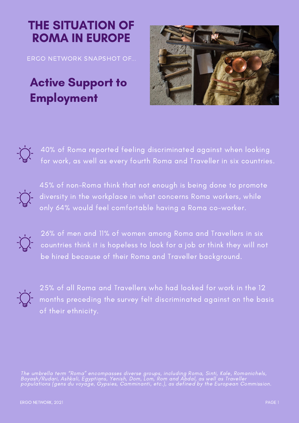## THE SITUATION OF ROMA IN EUROPE

ERGO NETWORK SNAPSHOT OF...

## **Active Support to Employment**





40% of Roma reported feeling discriminated against when looking for work, as well as every fourth Roma and Traveller in six countries.



45% of non-Roma think that not enough is being done to promote diversity in the workplace in what concerns Roma workers, while only 64% would feel comfortable having a Roma co-worker.



26% of men and 11% of women among Roma and Travellers in six countries think it is hopeless to look for a job or think they will not be hired because of their Roma and Traveller background.



25% of all Roma and Travellers who had looked for work in the 12 months preceding the survey felt discriminated against on the basis of their ethnicity.

The umbrella term "Roma" encompasses diverse groups, including Roma, Sinti, Kale, Romanichels, Boyash/Rudari, Ashkali, Egyptians, Yenish, Dom, Lom, Rom and Abdal, as well as Traveller populations (gens du voyage, Gypsies, Camminanti, etc.), as defined by the European [Commission](https://ec.europa.eu/info/policies/justice-and-fundamental-rights/combattingdiscrimination/roma-eu/roma-equality-inclusion-and-participation-eu_en).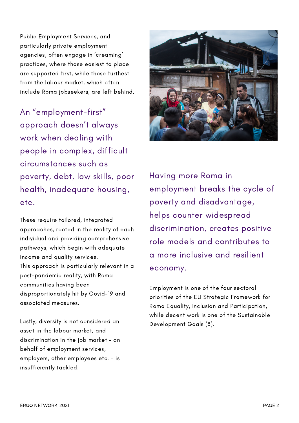Public Employment Services, and particularly private employment agencies, often engage in 'creaming' practices, where those easiest to place are supported first, while those furthest from the labour market, which often include Roma jobseekers, are left behind.

An "employment-first" approach doesn't always work when dealing with people in complex, difficult circumstances such as poverty, debt, low skills, poor health, inadequate housing, etc.

These require tailored, integrated approaches, rooted in the reality of each individual and providing comprehensive pathways, which begin with adequate income and quality services. This approach is particularly relevant in a post-pandemic reality, with Roma communities having been disproportionately hit by Covid-19 and associated measures.

Lastly, diversity is not considered an asset in the labour market, and discrimination in the job market – on behalf of employment services, employers, other employees etc. – is insufficiently tackled.



Having more Roma in employment breaks the cycle of poverty and disadvantage, helps counter widespread discrimination, creates positive role models and contributes to a more inclusive and resilient economy.

Employment is one of the four sectoral priorities of the EU Strategic Framework for Roma Equality, Inclusion and Participation, while decent work is one of the Sustainable Development Goals (8).